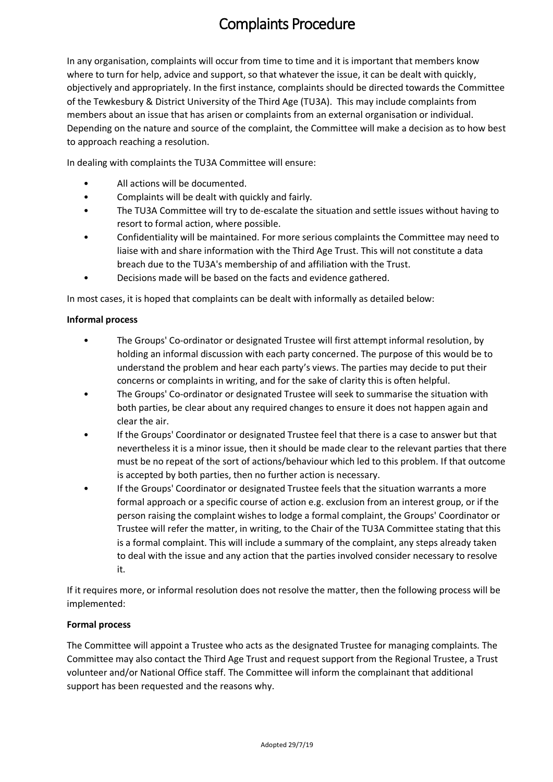# Complaints Procedure

In any organisation, complaints will occur from time to time and it is important that members know where to turn for help, advice and support, so that whatever the issue, it can be dealt with quickly, objectively and appropriately. In the first instance, complaints should be directed towards the Committee of the Tewkesbury & District University of the Third Age (TU3A). This may include complaints from members about an issue that has arisen or complaints from an external organisation or individual. Depending on the nature and source of the complaint, the Committee will make a decision as to how best to approach reaching a resolution.

In dealing with complaints the TU3A Committee will ensure:

- All actions will be documented.
- Complaints will be dealt with quickly and fairly.
- The TU3A Committee will try to de-escalate the situation and settle issues without having to resort to formal action, where possible.
- Confidentiality will be maintained. For more serious complaints the Committee may need to liaise with and share information with the Third Age Trust. This will not constitute a data breach due to the TU3A's membership of and affiliation with the Trust.
- Decisions made will be based on the facts and evidence gathered.

In most cases, it is hoped that complaints can be dealt with informally as detailed below:

### **Informal process**

- The Groups' Co-ordinator or designated Trustee will first attempt informal resolution, by holding an informal discussion with each party concerned. The purpose of this would be to understand the problem and hear each party's views. The parties may decide to put their concerns or complaints in writing, and for the sake of clarity this is often helpful.
- The Groups' Co-ordinator or designated Trustee will seek to summarise the situation with both parties, be clear about any required changes to ensure it does not happen again and clear the air.
- If the Groups' Coordinator or designated Trustee feel that there is a case to answer but that nevertheless it is a minor issue, then it should be made clear to the relevant parties that there must be no repeat of the sort of actions/behaviour which led to this problem. If that outcome is accepted by both parties, then no further action is necessary.
- If the Groups' Coordinator or designated Trustee feels that the situation warrants a more formal approach or a specific course of action e.g. exclusion from an interest group, or if the person raising the complaint wishes to lodge a formal complaint, the Groups' Coordinator or Trustee will refer the matter, in writing, to the Chair of the TU3A Committee stating that this is a formal complaint. This will include a summary of the complaint, any steps already taken to deal with the issue and any action that the parties involved consider necessary to resolve it.

If it requires more, or informal resolution does not resolve the matter, then the following process will be implemented:

### **Formal process**

The Committee will appoint a Trustee who acts as the designated Trustee for managing complaints. The Committee may also contact the Third Age Trust and request support from the Regional Trustee, a Trust volunteer and/or National Office staff. The Committee will inform the complainant that additional support has been requested and the reasons why.